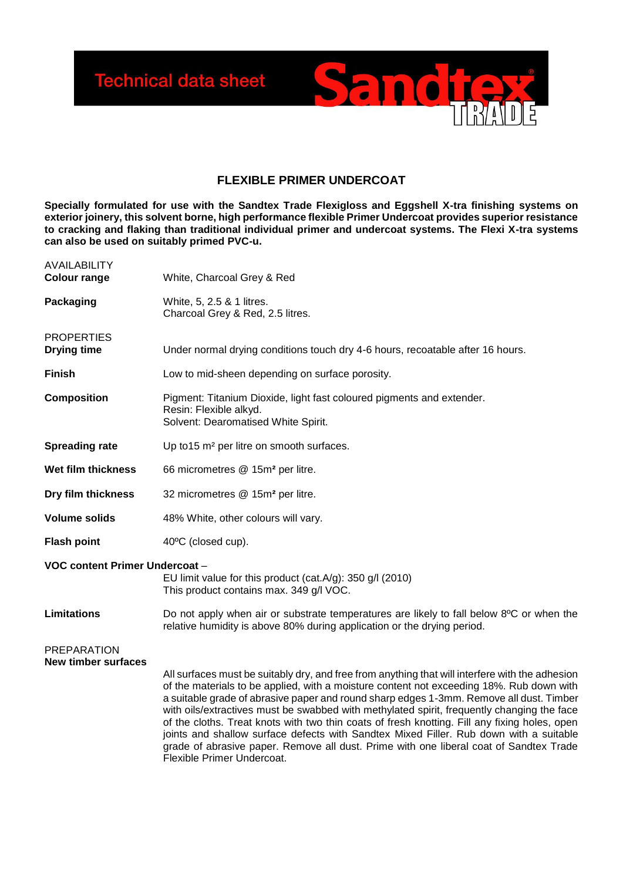

## **FLEXIBLE PRIMER UNDERCOAT**

**Specially formulated for use with the Sandtex Trade Flexigloss and Eggshell X-tra finishing systems on exterior joinery, this solvent borne, high performance flexible Primer Undercoat provides superior resistance to cracking and flaking than traditional individual primer and undercoat systems. The Flexi X-tra systems can also be used on suitably primed PVC-u.** 

| <b>AVAILABILITY</b><br><b>Colour range</b>       | White, Charcoal Grey & Red                                                                                                                                                                                                                                                                                                                                                                                                                                                                                                                                                                                                                                                                              |
|--------------------------------------------------|---------------------------------------------------------------------------------------------------------------------------------------------------------------------------------------------------------------------------------------------------------------------------------------------------------------------------------------------------------------------------------------------------------------------------------------------------------------------------------------------------------------------------------------------------------------------------------------------------------------------------------------------------------------------------------------------------------|
| Packaging                                        | White, 5, 2.5 & 1 litres.<br>Charcoal Grey & Red, 2.5 litres.                                                                                                                                                                                                                                                                                                                                                                                                                                                                                                                                                                                                                                           |
| <b>PROPERTIES</b><br><b>Drying time</b>          | Under normal drying conditions touch dry 4-6 hours, recoatable after 16 hours.                                                                                                                                                                                                                                                                                                                                                                                                                                                                                                                                                                                                                          |
| <b>Finish</b>                                    | Low to mid-sheen depending on surface porosity.                                                                                                                                                                                                                                                                                                                                                                                                                                                                                                                                                                                                                                                         |
| <b>Composition</b>                               | Pigment: Titanium Dioxide, light fast coloured pigments and extender.<br>Resin: Flexible alkyd.<br>Solvent: Dearomatised White Spirit.                                                                                                                                                                                                                                                                                                                                                                                                                                                                                                                                                                  |
| <b>Spreading rate</b>                            | Up to 15 m <sup>2</sup> per litre on smooth surfaces.                                                                                                                                                                                                                                                                                                                                                                                                                                                                                                                                                                                                                                                   |
| Wet film thickness                               | 66 micrometres @ 15m <sup>2</sup> per litre.                                                                                                                                                                                                                                                                                                                                                                                                                                                                                                                                                                                                                                                            |
| Dry film thickness                               | 32 micrometres @ 15m <sup>2</sup> per litre.                                                                                                                                                                                                                                                                                                                                                                                                                                                                                                                                                                                                                                                            |
| <b>Volume solids</b>                             | 48% White, other colours will vary.                                                                                                                                                                                                                                                                                                                                                                                                                                                                                                                                                                                                                                                                     |
| <b>Flash point</b>                               | 40°C (closed cup).                                                                                                                                                                                                                                                                                                                                                                                                                                                                                                                                                                                                                                                                                      |
| VOC content Primer Undercoat -                   | EU limit value for this product (cat.A/g): 350 g/l (2010)<br>This product contains max. 349 g/l VOC.                                                                                                                                                                                                                                                                                                                                                                                                                                                                                                                                                                                                    |
| <b>Limitations</b>                               | Do not apply when air or substrate temperatures are likely to fall below 8°C or when the<br>relative humidity is above 80% during application or the drying period.                                                                                                                                                                                                                                                                                                                                                                                                                                                                                                                                     |
| <b>PREPARATION</b><br><b>New timber surfaces</b> | All surfaces must be suitably dry, and free from anything that will interfere with the adhesion<br>of the materials to be applied, with a moisture content not exceeding 18%. Rub down with<br>a suitable grade of abrasive paper and round sharp edges 1-3mm. Remove all dust. Timber<br>with oils/extractives must be swabbed with methylated spirit, frequently changing the face<br>of the cloths. Treat knots with two thin coats of fresh knotting. Fill any fixing holes, open<br>joints and shallow surface defects with Sandtex Mixed Filler. Rub down with a suitable<br>grade of abrasive paper. Remove all dust. Prime with one liberal coat of Sandtex Trade<br>Flexible Primer Undercoat. |